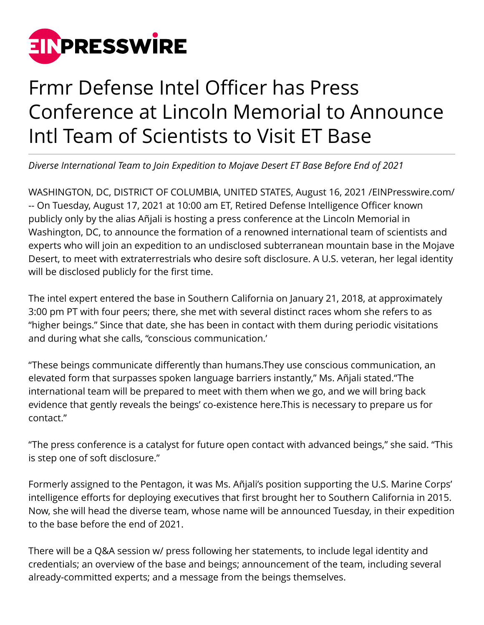

## Frmr Defense Intel Officer has Press Conference at Lincoln Memorial to Announce Intl Team of Scientists to Visit ET Base

*Diverse International Team to Join Expedition to Mojave Desert ET Base Before End of 2021*

WASHINGTON, DC, DISTRICT OF COLUMBIA, UNITED STATES, August 16, 2021 /[EINPresswire.com](http://www.einpresswire.com)/ -- On Tuesday, August 17, 2021 at 10:00 am ET, Retired Defense Intelligence Officer known publicly only by the alias Añjali is hosting a press conference at the Lincoln Memorial in Washington, DC, to announce the formation of a renowned international team of scientists and experts who will join an expedition to an undisclosed subterranean mountain base in the Mojave Desert, to meet with extraterrestrials who desire soft disclosure. A U.S. veteran, her legal identity will be disclosed publicly for the first time.

The intel expert entered the base in Southern California on January 21, 2018, at approximately 3:00 pm PT with four peers; there, she met with several distinct races whom she refers to as "higher beings." Since that date, she has been in contact with them during periodic visitations and during what she calls, "conscious communication.'

"These beings communicate differently than humans.They use conscious communication, an elevated form that surpasses spoken language barriers instantly," Ms. Añjali stated."The international team will be prepared to meet with them when we go, and we will bring back evidence that gently reveals the beings' co-existence here.This is necessary to prepare us for contact."

"The press conference is a catalyst for future open contact with advanced beings," she said. "This is step one of soft disclosure."

Formerly assigned to the Pentagon, it was Ms. Añjali's position supporting the U.S. Marine Corps' intelligence efforts for deploying executives that first brought her to Southern California in 2015. Now, she will head the diverse team, whose name will be announced Tuesday, in their expedition to the base before the end of 2021.

There will be a Q&A session w/ press following her statements, to include legal identity and credentials; an overview of the base and beings; announcement of the team, including several already-committed experts; and a message from the beings themselves.